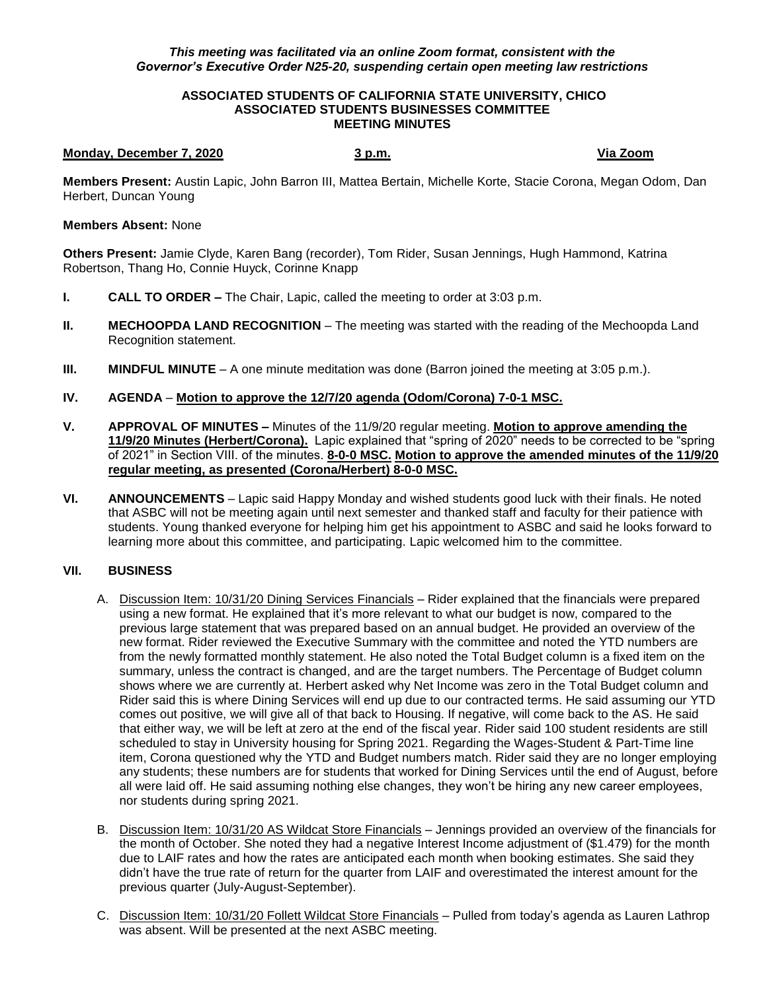## *This meeting was facilitated via an online Zoom format, consistent with the Governor's Executive Order N25-20, suspending certain open meeting law restrictions*

#### **ASSOCIATED STUDENTS OF CALIFORNIA STATE UNIVERSITY, CHICO ASSOCIATED STUDENTS BUSINESSES COMMITTEE MEETING MINUTES**

#### **Monday, December 7, 2020 3 p.m. Via Zoom**

**Members Present:** Austin Lapic, John Barron III, Mattea Bertain, Michelle Korte, Stacie Corona, Megan Odom, Dan Herbert, Duncan Young

### **Members Absent:** None

**Others Present:** Jamie Clyde, Karen Bang (recorder), Tom Rider, Susan Jennings, Hugh Hammond, Katrina Robertson, Thang Ho, Connie Huyck, Corinne Knapp

- **I. CALL TO ORDER –** The Chair, Lapic, called the meeting to order at 3:03 p.m.
- **II. MECHOOPDA LAND RECOGNITION** The meeting was started with the reading of the Mechoopda Land Recognition statement.
- **III. MINDFUL MINUTE** A one minute meditation was done (Barron joined the meeting at 3:05 p.m.).

# **IV. AGENDA** – **Motion to approve the 12/7/20 agenda (Odom/Corona) 7-0-1 MSC.**

- **V. APPROVAL OF MINUTES –** Minutes of the 11/9/20 regular meeting. **Motion to approve amending the 11/9/20 Minutes (Herbert/Corona).** Lapic explained that "spring of 2020" needs to be corrected to be "spring of 2021" in Section VIII. of the minutes. **8-0-0 MSC. Motion to approve the amended minutes of the 11/9/20 regular meeting, as presented (Corona/Herbert) 8-0-0 MSC.**
- **VI. ANNOUNCEMENTS** Lapic said Happy Monday and wished students good luck with their finals. He noted that ASBC will not be meeting again until next semester and thanked staff and faculty for their patience with students. Young thanked everyone for helping him get his appointment to ASBC and said he looks forward to learning more about this committee, and participating. Lapic welcomed him to the committee.

# **VII. BUSINESS**

- A. Discussion Item: 10/31/20 Dining Services Financials Rider explained that the financials were prepared using a new format. He explained that it's more relevant to what our budget is now, compared to the previous large statement that was prepared based on an annual budget. He provided an overview of the new format. Rider reviewed the Executive Summary with the committee and noted the YTD numbers are from the newly formatted monthly statement. He also noted the Total Budget column is a fixed item on the summary, unless the contract is changed, and are the target numbers. The Percentage of Budget column shows where we are currently at. Herbert asked why Net Income was zero in the Total Budget column and Rider said this is where Dining Services will end up due to our contracted terms. He said assuming our YTD comes out positive, we will give all of that back to Housing. If negative, will come back to the AS. He said that either way, we will be left at zero at the end of the fiscal year. Rider said 100 student residents are still scheduled to stay in University housing for Spring 2021. Regarding the Wages-Student & Part-Time line item, Corona questioned why the YTD and Budget numbers match. Rider said they are no longer employing any students; these numbers are for students that worked for Dining Services until the end of August, before all were laid off. He said assuming nothing else changes, they won't be hiring any new career employees, nor students during spring 2021.
- B. Discussion Item: 10/31/20 AS Wildcat Store Financials Jennings provided an overview of the financials for the month of October. She noted they had a negative Interest Income adjustment of (\$1.479) for the month due to LAIF rates and how the rates are anticipated each month when booking estimates. She said they didn't have the true rate of return for the quarter from LAIF and overestimated the interest amount for the previous quarter (July-August-September).
- C. Discussion Item: 10/31/20 Follett Wildcat Store Financials Pulled from today's agenda as Lauren Lathrop was absent. Will be presented at the next ASBC meeting.